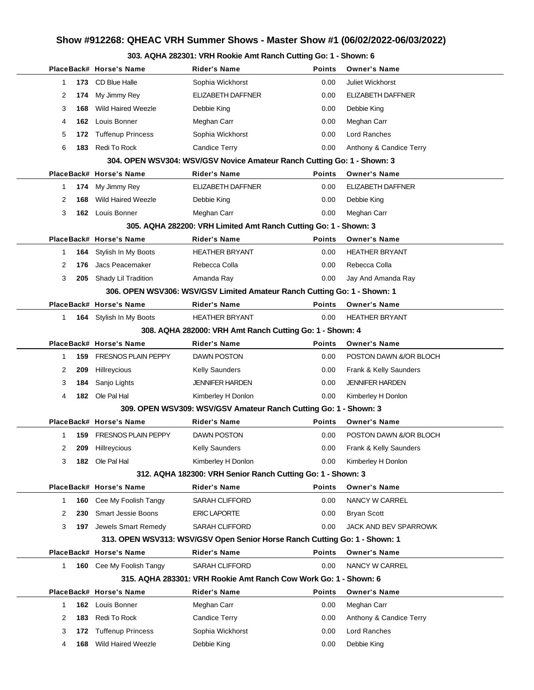## **Show #912268: QHEAC VRH Summer Shows - Master Show #1 (06/02/2022-06/03/2022)**

## **303. AQHA 282301: VRH Rookie Amt Ranch Cutting Go: 1 - Shown: 6**

|              |     | PlaceBack# Horse's Name         | <b>Rider's Name</b>                                                        | Points        | <b>Owner's Name</b>     |
|--------------|-----|---------------------------------|----------------------------------------------------------------------------|---------------|-------------------------|
| 1            |     | 173 CD Blue Halle               | Sophia Wickhorst                                                           | 0.00          | <b>Juliet Wickhorst</b> |
| 2            | 174 | My Jimmy Rey                    | ELIZABETH DAFFNER                                                          | 0.00          | ELIZABETH DAFFNER       |
| 3            | 168 | <b>Wild Haired Weezle</b>       | Debbie King                                                                | 0.00          | Debbie King             |
| 4            | 162 | Louis Bonner                    | Meghan Carr                                                                | 0.00          | Meghan Carr             |
| 5            | 172 | <b>Tuffenup Princess</b>        | Sophia Wickhorst                                                           | 0.00          | Lord Ranches            |
| 6            | 183 | Redi To Rock                    | Candice Terry                                                              | 0.00          | Anthony & Candice Terry |
|              |     |                                 | 304. OPEN WSV304: WSV/GSV Novice Amateur Ranch Cutting Go: 1 - Shown: 3    |               |                         |
|              |     | PlaceBack# Horse's Name         | <b>Rider's Name</b>                                                        | <b>Points</b> | <b>Owner's Name</b>     |
| 1            | 174 | My Jimmy Rey                    | <b>ELIZABETH DAFFNER</b>                                                   | 0.00          | ELIZABETH DAFFNER       |
| 2            | 168 | Wild Haired Weezle              | Debbie King                                                                | 0.00          | Debbie King             |
| 3            |     | 162 Louis Bonner                | Meghan Carr                                                                | 0.00          | Meghan Carr             |
|              |     |                                 | 305. AQHA 282200: VRH Limited Amt Ranch Cutting Go: 1 - Shown: 3           |               |                         |
|              |     | PlaceBack# Horse's Name         | <b>Rider's Name</b>                                                        | <b>Points</b> | <b>Owner's Name</b>     |
| 1            | 164 | Stylish In My Boots             | <b>HEATHER BRYANT</b>                                                      | 0.00          | <b>HEATHER BRYANT</b>   |
| 2            | 176 | Jacs Peacemaker                 | Rebecca Colla                                                              | 0.00          | Rebecca Colla           |
| 3            |     | 205 Shady Lil Tradition         | Amanda Ray                                                                 | 0.00          | Jay And Amanda Ray      |
|              |     |                                 | 306. OPEN WSV306: WSV/GSV Limited Amateur Ranch Cutting Go: 1 - Shown: 1   |               |                         |
|              |     | PlaceBack# Horse's Name         | <b>Rider's Name</b>                                                        | <b>Points</b> | <b>Owner's Name</b>     |
| $\mathbf{1}$ |     | 164 Stylish In My Boots         | <b>HEATHER BRYANT</b>                                                      | 0.00          | <b>HEATHER BRYANT</b>   |
|              |     |                                 | 308. AQHA 282000: VRH Amt Ranch Cutting Go: 1 - Shown: 4                   |               |                         |
|              |     | PlaceBack# Horse's Name         | <b>Rider's Name</b>                                                        | <b>Points</b> | <b>Owner's Name</b>     |
| $\mathbf 1$  | 159 | <b>FRESNOS PLAIN PEPPY</b>      | <b>DAWN POSTON</b>                                                         | 0.00          | POSTON DAWN &/OR BLOCH  |
| 2            | 209 | Hillreycious                    | <b>Kelly Saunders</b>                                                      | 0.00          | Frank & Kelly Saunders  |
| 3            | 184 | Sanjo Lights                    | <b>JENNIFER HARDEN</b>                                                     | 0.00          | <b>JENNIFER HARDEN</b>  |
| 4            |     | 182 Ole Pal Hal                 | Kimberley H Donlon                                                         | 0.00          | Kimberley H Donlon      |
|              |     |                                 | 309. OPEN WSV309: WSV/GSV Amateur Ranch Cutting Go: 1 - Shown: 3           |               |                         |
|              |     | PlaceBack# Horse's Name         | <b>Rider's Name</b>                                                        | <b>Points</b> | <b>Owner's Name</b>     |
| 1            | 159 | <b>FRESNOS PLAIN PEPPY</b>      | <b>DAWN POSTON</b>                                                         | 0.00          | POSTON DAWN &/OR BLOCH  |
| 2            | 209 | Hillreycious                    | <b>Kelly Saunders</b>                                                      | 0.00          | Frank & Kelly Saunders  |
| 3            |     | <b>182</b> Ole Pal Hal          | Kimberley H Donlon                                                         | 0.00          | Kimberley H Donlon      |
|              |     |                                 | 312. AQHA 182300: VRH Senior Ranch Cutting Go: 1 - Shown: 3                |               |                         |
|              |     | PlaceBack# Horse's Name         | <b>Rider's Name</b>                                                        | <b>Points</b> | <b>Owner's Name</b>     |
| 1            |     | <b>160</b> Cee My Foolish Tangy | <b>SARAH CLIFFORD</b>                                                      | 0.00          | NANCY W CARREL          |
| 2            | 230 | <b>Smart Jessie Boons</b>       | <b>ERIC LAPORTE</b>                                                        | 0.00          | Bryan Scott             |
| 3            |     | 197 Jewels Smart Remedy         | <b>SARAH CLIFFORD</b>                                                      | 0.00          | JACK AND BEV SPARROWK   |
|              |     |                                 | 313. OPEN WSV313: WSV/GSV Open Senior Horse Ranch Cutting Go: 1 - Shown: 1 |               |                         |
|              |     | PlaceBack# Horse's Name         | <b>Rider's Name</b>                                                        | <b>Points</b> | <b>Owner's Name</b>     |
| $\mathbf{1}$ |     | 160 Cee My Foolish Tangy        | <b>SARAH CLIFFORD</b>                                                      | 0.00          | NANCY W CARREL          |
|              |     |                                 | 315. AQHA 283301: VRH Rookie Amt Ranch Cow Work Go: 1 - Shown: 6           |               |                         |
|              |     | PlaceBack# Horse's Name         | <b>Rider's Name</b>                                                        | <b>Points</b> | <b>Owner's Name</b>     |
| 1            |     | 162 Louis Bonner                | Meghan Carr                                                                | 0.00          | Meghan Carr             |
| 2            | 183 | Redi To Rock                    | Candice Terry                                                              | 0.00          | Anthony & Candice Terry |
| 3            | 172 | <b>Tuffenup Princess</b>        | Sophia Wickhorst                                                           | 0.00          | Lord Ranches            |
| 4            | 168 | <b>Wild Haired Weezle</b>       | Debbie King                                                                | 0.00          | Debbie King             |
|              |     |                                 |                                                                            |               |                         |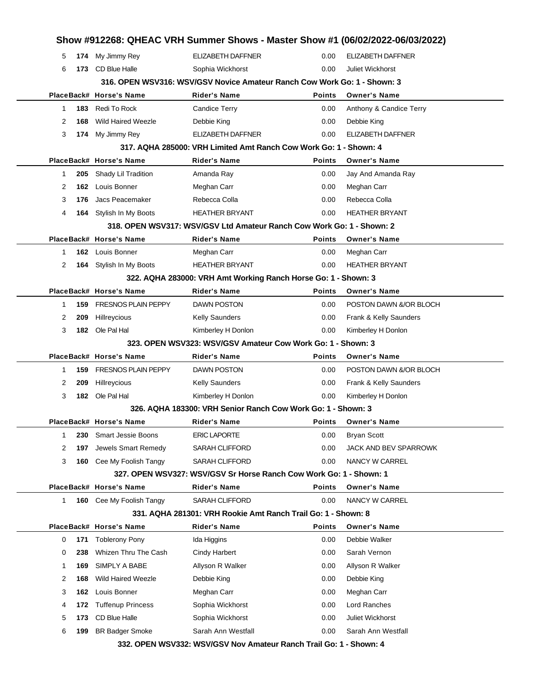|              |     |                            |                                                                          |               | Show #912268: QHEAC VRH Summer Shows - Master Show #1 (06/02/2022-06/03/2022) |  |
|--------------|-----|----------------------------|--------------------------------------------------------------------------|---------------|-------------------------------------------------------------------------------|--|
| 5            |     | 174 My Jimmy Rey           | <b>ELIZABETH DAFFNER</b>                                                 | 0.00          | ELIZABETH DAFFNER                                                             |  |
| 6            |     | 173 CD Blue Halle          | Sophia Wickhorst                                                         | 0.00          | <b>Juliet Wickhorst</b>                                                       |  |
|              |     |                            | 316. OPEN WSV316: WSV/GSV Novice Amateur Ranch Cow Work Go: 1 - Shown: 3 |               |                                                                               |  |
|              |     | PlaceBack# Horse's Name    | <b>Rider's Name</b>                                                      | <b>Points</b> | <b>Owner's Name</b>                                                           |  |
| 1            | 183 | Redi To Rock               | <b>Candice Terry</b>                                                     | 0.00          | Anthony & Candice Terry                                                       |  |
| 2            | 168 | <b>Wild Haired Weezle</b>  | Debbie King                                                              | 0.00          | Debbie King                                                                   |  |
| 3            |     | 174 My Jimmy Rey           | <b>ELIZABETH DAFFNER</b>                                                 | 0.00          | ELIZABETH DAFFNER                                                             |  |
|              |     |                            | 317. AQHA 285000: VRH Limited Amt Ranch Cow Work Go: 1 - Shown: 4        |               |                                                                               |  |
|              |     | PlaceBack# Horse's Name    | <b>Rider's Name</b>                                                      | <b>Points</b> | <b>Owner's Name</b>                                                           |  |
| 1            | 205 | Shady Lil Tradition        | Amanda Ray                                                               | 0.00          | Jay And Amanda Ray                                                            |  |
| 2            | 162 | Louis Bonner               | Meghan Carr                                                              | 0.00          | Meghan Carr                                                                   |  |
| 3            | 176 | Jacs Peacemaker            | Rebecca Colla                                                            | 0.00          | Rebecca Colla                                                                 |  |
| 4            |     | 164 Stylish In My Boots    | <b>HEATHER BRYANT</b>                                                    | 0.00          | <b>HEATHER BRYANT</b>                                                         |  |
|              |     |                            | 318. OPEN WSV317: WSV/GSV Ltd Amateur Ranch Cow Work Go: 1 - Shown: 2    |               |                                                                               |  |
|              |     | PlaceBack# Horse's Name    | <b>Rider's Name</b>                                                      | <b>Points</b> | <b>Owner's Name</b>                                                           |  |
| 1            |     | 162 Louis Bonner           | Meghan Carr                                                              | 0.00          | Meghan Carr                                                                   |  |
| 2            |     | 164 Stylish In My Boots    | <b>HEATHER BRYANT</b>                                                    | 0.00          | <b>HEATHER BRYANT</b>                                                         |  |
|              |     |                            | 322. AQHA 283000: VRH Amt Working Ranch Horse Go: 1 - Shown: 3           |               |                                                                               |  |
|              |     | PlaceBack# Horse's Name    | <b>Rider's Name</b>                                                      | <b>Points</b> | <b>Owner's Name</b>                                                           |  |
| 1            | 159 | <b>FRESNOS PLAIN PEPPY</b> | <b>DAWN POSTON</b>                                                       | 0.00          | POSTON DAWN &/OR BLOCH                                                        |  |
| 2            | 209 | Hillreycious               | <b>Kelly Saunders</b>                                                    | 0.00          | Frank & Kelly Saunders                                                        |  |
| 3            |     | 182 Ole Pal Hal            | Kimberley H Donlon                                                       | 0.00          | Kimberley H Donlon                                                            |  |
|              |     |                            | 323. OPEN WSV323: WSV/GSV Amateur Cow Work Go: 1 - Shown: 3              |               |                                                                               |  |
|              |     | PlaceBack# Horse's Name    | <b>Rider's Name</b>                                                      | <b>Points</b> | <b>Owner's Name</b>                                                           |  |
| 1            | 159 | <b>FRESNOS PLAIN PEPPY</b> | <b>DAWN POSTON</b>                                                       | 0.00          | POSTON DAWN &/OR BLOCH                                                        |  |
| 2            | 209 | Hillreycious               | <b>Kelly Saunders</b>                                                    | 0.00          | Frank & Kelly Saunders                                                        |  |
| 3            |     | 182 Ole Pal Hal            | Kimberley H Donlon                                                       | 0.00          | Kimberley H Donlon                                                            |  |
|              |     |                            | 326, AQHA 183300: VRH Senior Ranch Cow Work Go: 1 - Shown: 3             |               |                                                                               |  |
|              |     | PlaceBack# Horse's Name    | Rider's Name                                                             | Points        | <b>Owner's Name</b>                                                           |  |
| $\mathbf{1}$ | 230 | <b>Smart Jessie Boons</b>  | <b>ERIC LAPORTE</b>                                                      | 0.00          | <b>Bryan Scott</b>                                                            |  |
| 2            | 197 | Jewels Smart Remedy        | <b>SARAH CLIFFORD</b>                                                    | 0.00          | JACK AND BEV SPARROWK                                                         |  |
| 3            | 160 | Cee My Foolish Tangy       | <b>SARAH CLIFFORD</b>                                                    | 0.00          | NANCY W CARREL                                                                |  |
|              |     |                            | 327. OPEN WSV327: WSV/GSV Sr Horse Ranch Cow Work Go: 1 - Shown: 1       |               |                                                                               |  |
|              |     | PlaceBack# Horse's Name    | <b>Rider's Name</b>                                                      | Points        | <b>Owner's Name</b>                                                           |  |
| 1            |     | 160 Cee My Foolish Tangy   | <b>SARAH CLIFFORD</b>                                                    | 0.00          | NANCY W CARREL                                                                |  |
|              |     |                            | 331. AQHA 281301: VRH Rookie Amt Ranch Trail Go: 1 - Shown: 8            |               |                                                                               |  |
|              |     | PlaceBack# Horse's Name    | <b>Rider's Name</b>                                                      | <b>Points</b> | <b>Owner's Name</b>                                                           |  |
| 0            | 171 | <b>Toblerony Pony</b>      | Ida Higgins                                                              | 0.00          | Debbie Walker                                                                 |  |
| 0            | 238 | Whizen Thru The Cash       | <b>Cindy Harbert</b>                                                     | 0.00          | Sarah Vernon                                                                  |  |
| 1            | 169 | SIMPLY A BABE              | Allyson R Walker                                                         | 0.00          | Allyson R Walker                                                              |  |
| 2            | 168 | <b>Wild Haired Weezle</b>  | Debbie King                                                              | 0.00          | Debbie King                                                                   |  |
| 3            | 162 | Louis Bonner               | Meghan Carr                                                              | 0.00          | Meghan Carr                                                                   |  |
| 4            | 172 | <b>Tuffenup Princess</b>   | Sophia Wickhorst                                                         | 0.00          | Lord Ranches                                                                  |  |
| 5            | 173 | CD Blue Halle              | Sophia Wickhorst                                                         | 0.00          | Juliet Wickhorst                                                              |  |
|              |     |                            |                                                                          |               |                                                                               |  |
| 6            | 199 | <b>BR Badger Smoke</b>     | Sarah Ann Westfall                                                       | 0.00          | Sarah Ann Westfall                                                            |  |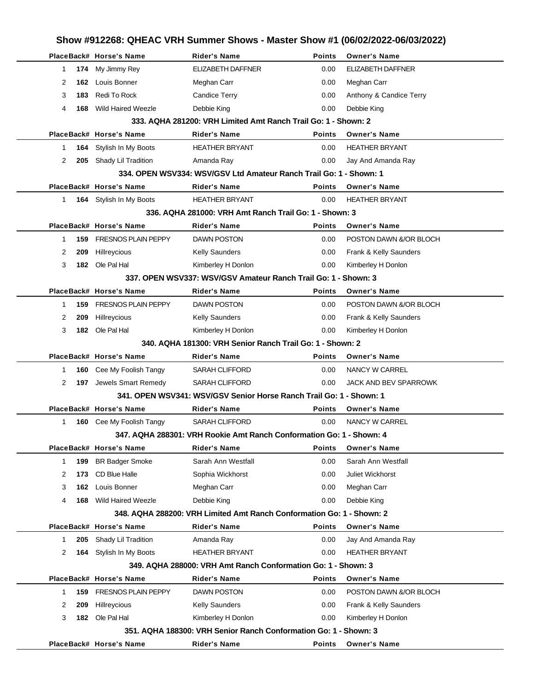|    |     |                                 |                                                                       |               | Show #912268: QHEAC VRH Summer Shows - Master Show #1 (06/02/2022-06/03/2022) |
|----|-----|---------------------------------|-----------------------------------------------------------------------|---------------|-------------------------------------------------------------------------------|
|    |     | PlaceBack# Horse's Name         | <b>Rider's Name</b>                                                   | <b>Points</b> | <b>Owner's Name</b>                                                           |
| 1  |     | 174 My Jimmy Rey                | <b>ELIZABETH DAFFNER</b>                                              | 0.00          | ELIZABETH DAFFNER                                                             |
| 2  | 162 | Louis Bonner                    | Meghan Carr                                                           | 0.00          | Meghan Carr                                                                   |
| 3  | 183 | Redi To Rock                    | <b>Candice Terry</b>                                                  | 0.00          | Anthony & Candice Terry                                                       |
| 4  | 168 | <b>Wild Haired Weezle</b>       | Debbie King                                                           | 0.00          | Debbie King                                                                   |
|    |     |                                 | 333, AQHA 281200: VRH Limited Amt Ranch Trail Go: 1 - Shown: 2        |               |                                                                               |
|    |     | PlaceBack# Horse's Name         | <b>Rider's Name</b>                                                   | <b>Points</b> | <b>Owner's Name</b>                                                           |
| 1  |     | 164 Stylish In My Boots         | <b>HEATHER BRYANT</b>                                                 | 0.00          | <b>HEATHER BRYANT</b>                                                         |
| 2  | 205 | Shady Lil Tradition             | Amanda Ray                                                            | 0.00          | Jay And Amanda Ray                                                            |
|    |     |                                 | 334. OPEN WSV334: WSV/GSV Ltd Amateur Ranch Trail Go: 1 - Shown: 1    |               |                                                                               |
|    |     | PlaceBack# Horse's Name         | Rider's Name                                                          | <b>Points</b> | <b>Owner's Name</b>                                                           |
| 1. |     | 164 Stylish In My Boots         | <b>HEATHER BRYANT</b>                                                 | 0.00          | <b>HEATHER BRYANT</b>                                                         |
|    |     |                                 | 336, AQHA 281000: VRH Amt Ranch Trail Go: 1 - Shown: 3                |               |                                                                               |
|    |     | PlaceBack# Horse's Name         | <b>Rider's Name</b>                                                   | <b>Points</b> | <b>Owner's Name</b>                                                           |
| 1  | 159 | <b>FRESNOS PLAIN PEPPY</b>      | <b>DAWN POSTON</b>                                                    | 0.00          | POSTON DAWN &/OR BLOCH                                                        |
| 2  | 209 | Hillreycious                    | <b>Kelly Saunders</b>                                                 | 0.00          | Frank & Kelly Saunders                                                        |
| 3  |     | 182 Ole Pal Hal                 | Kimberley H Donlon                                                    | 0.00          | Kimberley H Donlon                                                            |
|    |     |                                 | 337. OPEN WSV337: WSV/GSV Amateur Ranch Trail Go: 1 - Shown: 3        |               |                                                                               |
|    |     | PlaceBack# Horse's Name         | Rider's Name                                                          | <b>Points</b> | <b>Owner's Name</b>                                                           |
| 1  | 159 | <b>FRESNOS PLAIN PEPPY</b>      | <b>DAWN POSTON</b>                                                    | 0.00          | POSTON DAWN &/OR BLOCH                                                        |
| 2  | 209 | Hillreycious                    | Kelly Saunders                                                        | 0.00          | Frank & Kelly Saunders                                                        |
| 3  |     | 182 Ole Pal Hal                 | Kimberley H Donlon                                                    | 0.00          | Kimberley H Donlon                                                            |
|    |     |                                 | 340, AQHA 181300: VRH Senior Ranch Trail Go: 1 - Shown: 2             |               |                                                                               |
|    |     | PlaceBack# Horse's Name         | <b>Rider's Name</b>                                                   | Points        | <b>Owner's Name</b>                                                           |
| 1  | 160 | Cee My Foolish Tangy            | <b>SARAH CLIFFORD</b>                                                 | 0.00          | NANCY W CARREL                                                                |
| 2  | 197 | Jewels Smart Remedy             | <b>SARAH CLIFFORD</b>                                                 | 0.00          | <b>JACK AND BEV SPARROWK</b>                                                  |
|    |     |                                 | 341, OPEN WSV341: WSV/GSV Senior Horse Ranch Trail Go: 1 - Shown: 1   |               |                                                                               |
|    |     | PlaceBack# Horse's Name         | Rider's Name                                                          | Points        | <b>Owner's Name</b>                                                           |
| 1  |     | <b>160</b> Cee My Foolish Tangy | SARAH CLIFFORD                                                        | 0.00          | NANCY W CARREL                                                                |
|    |     |                                 | 347. AQHA 288301: VRH Rookie Amt Ranch Conformation Go: 1 - Shown: 4  |               |                                                                               |
|    |     | PlaceBack# Horse's Name         | <b>Rider's Name</b>                                                   | <b>Points</b> | <b>Owner's Name</b>                                                           |
| 1  | 199 | <b>BR Badger Smoke</b>          | Sarah Ann Westfall                                                    | 0.00          | Sarah Ann Westfall                                                            |
| 2  | 173 | CD Blue Halle                   | Sophia Wickhorst                                                      | 0.00          | Juliet Wickhorst                                                              |
| 3  | 162 | Louis Bonner                    | Meghan Carr                                                           | 0.00          | Meghan Carr                                                                   |
| 4  | 168 | <b>Wild Haired Weezle</b>       | Debbie King                                                           | 0.00          | Debbie King                                                                   |
|    |     |                                 | 348. AQHA 288200: VRH Limited Amt Ranch Conformation Go: 1 - Shown: 2 |               |                                                                               |
|    |     | PlaceBack# Horse's Name         | Rider's Name                                                          | <b>Points</b> | <b>Owner's Name</b>                                                           |
| 1  | 205 | Shady Lil Tradition             | Amanda Ray                                                            | 0.00          | Jay And Amanda Ray                                                            |
| 2  | 164 | Stylish In My Boots             | <b>HEATHER BRYANT</b>                                                 | 0.00          | <b>HEATHER BRYANT</b>                                                         |
|    |     |                                 | 349. AQHA 288000: VRH Amt Ranch Conformation Go: 1 - Shown: 3         |               |                                                                               |
|    |     | PlaceBack# Horse's Name         | Rider's Name                                                          | Points        | <b>Owner's Name</b>                                                           |
| 1  | 159 | <b>FRESNOS PLAIN PEPPY</b>      | <b>DAWN POSTON</b>                                                    | 0.00          | POSTON DAWN &/OR BLOCH                                                        |
| 2  | 209 | Hillreycious                    | <b>Kelly Saunders</b>                                                 | 0.00          | Frank & Kelly Saunders                                                        |
| 3  |     | 182 Ole Pal Hal                 | Kimberley H Donlon                                                    | 0.00          | Kimberley H Donlon                                                            |
|    |     |                                 | 351. AQHA 188300: VRH Senior Ranch Conformation Go: 1 - Shown: 3      |               |                                                                               |
|    |     | PlaceBack# Horse's Name         | <b>Rider's Name</b>                                                   | Points        | <b>Owner's Name</b>                                                           |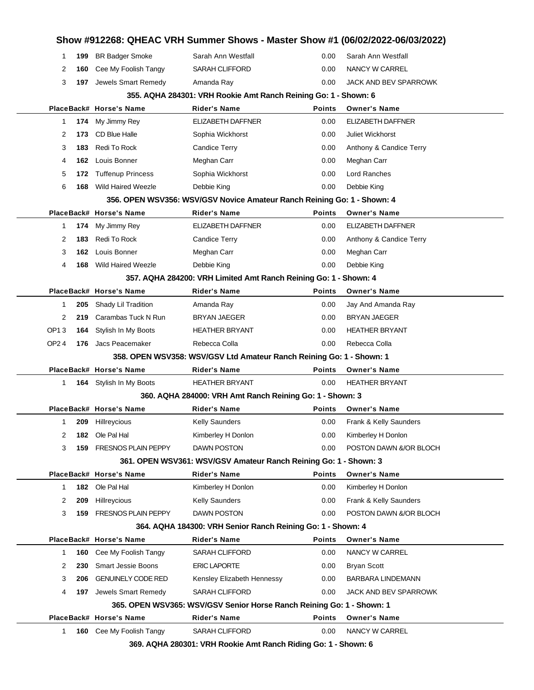|        |            | PlaceBack# Horse's Name                        | <b>Rider's Name</b>                                                     | <b>Points</b> | <b>Owner's Name</b>                  |
|--------|------------|------------------------------------------------|-------------------------------------------------------------------------|---------------|--------------------------------------|
|        |            |                                                |                                                                         |               |                                      |
|        |            |                                                | 365. OPEN WSV365: WSV/GSV Senior Horse Ranch Reining Go: 1 - Shown: 1   |               |                                      |
| 4      | 197        | Jewels Smart Remedy                            | <b>SARAH CLIFFORD</b>                                                   | 0.00          | JACK AND BEV SPARROWK                |
| 3      | 206        | <b>GENUINELY CODE RED</b>                      | Kensley Elizabeth Hennessy                                              | 0.00          | BARBARA LINDEMANN                    |
| 2      | 230        | <b>Smart Jessie Boons</b>                      | <b>ERIC LAPORTE</b>                                                     | 0.00          | <b>Bryan Scott</b>                   |
| 1      | 160        | Cee My Foolish Tangy                           | <b>SARAH CLIFFORD</b>                                                   | 0.00          | NANCY W CARREL                       |
|        |            | PlaceBack# Horse's Name                        | Rider's Name                                                            | Points        | <b>Owner's Name</b>                  |
|        |            |                                                | 364. AQHA 184300: VRH Senior Ranch Reining Go: 1 - Shown: 4             |               |                                      |
| 3      | 159        | <b>FRESNOS PLAIN PEPPY</b>                     | DAWN POSTON                                                             | 0.00          | POSTON DAWN &/OR BLOCH               |
| 2      | 209        | Hillreycious                                   | <b>Kelly Saunders</b>                                                   | 0.00          | Frank & Kelly Saunders               |
| 1      | 182        | Ole Pal Hal                                    | Kimberley H Donlon                                                      | 0.00          | Kimberley H Donlon                   |
|        |            | PlaceBack# Horse's Name                        | <b>Rider's Name</b>                                                     | Points        | <b>Owner's Name</b>                  |
|        |            |                                                | 361. OPEN WSV361: WSV/GSV Amateur Ranch Reining Go: 1 - Shown: 3        |               |                                      |
| 3      | 159        | <b>FRESNOS PLAIN PEPPY</b>                     | DAWN POSTON                                                             | 0.00          | POSTON DAWN &/OR BLOCH               |
| 2      | 182        | Ole Pal Hal                                    | Kimberley H Donlon                                                      | 0.00          | Kimberley H Donlon                   |
| 1      |            | 209 Hillreycious                               | <b>Kelly Saunders</b>                                                   | 0.00          | Frank & Kelly Saunders               |
|        |            | PlaceBack# Horse's Name                        | Rider's Name                                                            | <b>Points</b> | <b>Owner's Name</b>                  |
|        |            |                                                | 360. AQHA 284000: VRH Amt Ranch Reining Go: 1 - Shown: 3                |               |                                      |
| 1      |            | 164 Stylish In My Boots                        | <b>HEATHER BRYANT</b>                                                   | 0.00          | <b>HEATHER BRYANT</b>                |
|        |            | PlaceBack# Horse's Name                        | Rider's Name                                                            | Points        | <b>Owner's Name</b>                  |
|        |            |                                                | 358. OPEN WSV358: WSV/GSV Ltd Amateur Ranch Reining Go: 1 - Shown: 1    |               |                                      |
| OP24   |            | 176 Jacs Peacemaker                            | Rebecca Colla                                                           | 0.00          | Rebecca Colla                        |
| OP13   | 164        | Stylish In My Boots                            | <b>HEATHER BRYANT</b>                                                   | 0.00          | <b>HEATHER BRYANT</b>                |
| 2      | 219        | Carambas Tuck N Run                            | BRYAN JAEGER                                                            | 0.00          | <b>BRYAN JAEGER</b>                  |
| 1      | 205        | Shady Lil Tradition                            | Amanda Ray                                                              | 0.00          | Jay And Amanda Ray                   |
|        |            | PlaceBack# Horse's Name                        | <b>Rider's Name</b>                                                     | <b>Points</b> | <b>Owner's Name</b>                  |
|        |            |                                                | 357. AQHA 284200: VRH Limited Amt Ranch Reining Go: 1 - Shown: 4        |               |                                      |
| 4      | 168        | Wild Haired Weezle                             | Debbie King                                                             | 0.00          | Debbie King                          |
| 3      | 162        | Louis Bonner                                   | Meghan Carr                                                             | 0.00          | Meghan Carr                          |
| 2      | 183        | Redi To Rock                                   | <b>Candice Terry</b>                                                    | 0.00          | Anthony & Candice Terry              |
| 1      | 174        | My Jimmy Rey                                   | ELIZABETH DAFFNER                                                       | 0.00          | ELIZABETH DAFFNER                    |
|        |            | PlaceBack# Horse's Name                        | Rider's Name                                                            | <b>Points</b> | <b>Owner's Name</b>                  |
|        |            |                                                | 356. OPEN WSV356: WSV/GSV Novice Amateur Ranch Reining Go: 1 - Shown: 4 |               |                                      |
| 6      | 168        | Wild Haired Weezle                             | Debbie King                                                             | 0.00          | Debbie King                          |
| 5      | 172        | <b>Tuffenup Princess</b>                       | Sophia Wickhorst                                                        | 0.00          | Lord Ranches                         |
| 4      | 162        | Louis Bonner                                   | Meghan Carr                                                             | 0.00          | Meghan Carr                          |
| 3      | 183        | Redi To Rock                                   | Candice Terry                                                           | 0.00          | Anthony & Candice Terry              |
| 2      | 173        | CD Blue Halle                                  | Sophia Wickhorst                                                        | 0.00          | Juliet Wickhorst                     |
| 1      | 174        | My Jimmy Rey                                   | ELIZABETH DAFFNER                                                       | 0.00          | ELIZABETH DAFFNER                    |
|        |            | PlaceBack# Horse's Name                        | Rider's Name                                                            | Points        | <b>Owner's Name</b>                  |
|        |            |                                                | 355. AQHA 284301: VRH Rookie Amt Ranch Reining Go: 1 - Shown: 6         |               |                                      |
| 3      |            | 197 Jewels Smart Remedy                        | Amanda Ray                                                              | 0.00          | JACK AND BEV SPARROWK                |
| 1<br>2 | 199<br>160 | <b>BR Badger Smoke</b><br>Cee My Foolish Tangy | Sarah Ann Westfall<br><b>SARAH CLIFFORD</b>                             | 0.00<br>0.00  | Sarah Ann Westfall<br>NANCY W CARREL |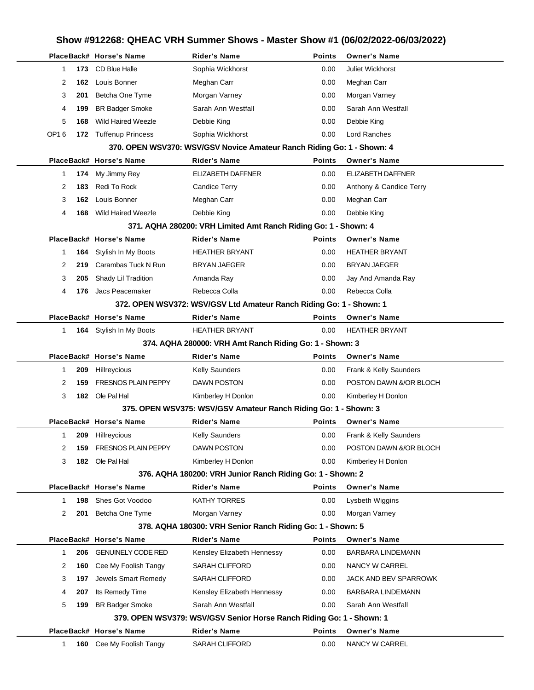| Show #912268: QHEAC VRH Summer Shows - Master Show #1 (06/02/2022-06/03/2022) |                                                                     |                            |                                                                        |               |                         |  |  |  |  |
|-------------------------------------------------------------------------------|---------------------------------------------------------------------|----------------------------|------------------------------------------------------------------------|---------------|-------------------------|--|--|--|--|
|                                                                               |                                                                     | PlaceBack# Horse's Name    | <b>Rider's Name</b>                                                    | <b>Points</b> | <b>Owner's Name</b>     |  |  |  |  |
|                                                                               | 173<br>1                                                            | <b>CD Blue Halle</b>       | Sophia Wickhorst                                                       | 0.00          | Juliet Wickhorst        |  |  |  |  |
|                                                                               | 2<br>162                                                            | Louis Bonner               | Meghan Carr                                                            | 0.00          | Meghan Carr             |  |  |  |  |
|                                                                               | 3<br>201                                                            | Betcha One Tyme            | Morgan Varney                                                          | 0.00          | Morgan Varney           |  |  |  |  |
|                                                                               | 199<br>4                                                            | <b>BR Badger Smoke</b>     | Sarah Ann Westfall                                                     | 0.00          | Sarah Ann Westfall      |  |  |  |  |
|                                                                               | 5<br>168                                                            | <b>Wild Haired Weezle</b>  | Debbie King                                                            | 0.00          | Debbie King             |  |  |  |  |
| OP16                                                                          |                                                                     | 172 Tuffenup Princess      | Sophia Wickhorst                                                       | 0.00          | Lord Ranches            |  |  |  |  |
|                                                                               |                                                                     |                            | 370. OPEN WSV370: WSV/GSV Novice Amateur Ranch Riding Go: 1 - Shown: 4 |               |                         |  |  |  |  |
|                                                                               |                                                                     | PlaceBack# Horse's Name    | <b>Rider's Name</b>                                                    | <b>Points</b> | <b>Owner's Name</b>     |  |  |  |  |
|                                                                               | 1<br>174                                                            | My Jimmy Rey               | ELIZABETH DAFFNER                                                      | 0.00          | ELIZABETH DAFFNER       |  |  |  |  |
|                                                                               | 2<br>183                                                            | Redi To Rock               | <b>Candice Terry</b>                                                   | 0.00          | Anthony & Candice Terry |  |  |  |  |
|                                                                               | 3<br>162                                                            | Louis Bonner               | Meghan Carr                                                            | 0.00          | Meghan Carr             |  |  |  |  |
|                                                                               | 4<br>168                                                            | Wild Haired Weezle         | Debbie King                                                            | 0.00          | Debbie King             |  |  |  |  |
|                                                                               |                                                                     |                            | 371. AQHA 280200: VRH Limited Amt Ranch Riding Go: 1 - Shown: 4        |               |                         |  |  |  |  |
|                                                                               |                                                                     | PlaceBack# Horse's Name    | <b>Rider's Name</b>                                                    | <b>Points</b> | <b>Owner's Name</b>     |  |  |  |  |
|                                                                               | 164<br>1                                                            | Stylish In My Boots        | <b>HEATHER BRYANT</b>                                                  | 0.00          | <b>HEATHER BRYANT</b>   |  |  |  |  |
|                                                                               | 2<br>219                                                            | Carambas Tuck N Run        | <b>BRYAN JAEGER</b>                                                    | 0.00          | BRYAN JAEGER            |  |  |  |  |
|                                                                               | 3<br>205                                                            | Shady Lil Tradition        | Amanda Ray                                                             | 0.00          | Jay And Amanda Ray      |  |  |  |  |
|                                                                               | 4<br>176                                                            | Jacs Peacemaker            | Rebecca Colla                                                          | 0.00          | Rebecca Colla           |  |  |  |  |
|                                                                               | 372. OPEN WSV372: WSV/GSV Ltd Amateur Ranch Riding Go: 1 - Shown: 1 |                            |                                                                        |               |                         |  |  |  |  |
|                                                                               |                                                                     | PlaceBack# Horse's Name    | <b>Rider's Name</b>                                                    | Points        | <b>Owner's Name</b>     |  |  |  |  |
|                                                                               | 1                                                                   | 164 Stylish In My Boots    | <b>HEATHER BRYANT</b>                                                  | 0.00          | <b>HEATHER BRYANT</b>   |  |  |  |  |
|                                                                               | 374. AQHA 280000: VRH Amt Ranch Riding Go: 1 - Shown: 3             |                            |                                                                        |               |                         |  |  |  |  |
|                                                                               |                                                                     | PlaceBack# Horse's Name    | <b>Rider's Name</b>                                                    | <b>Points</b> | <b>Owner's Name</b>     |  |  |  |  |
|                                                                               | 1<br>209                                                            | Hillreycious               | <b>Kelly Saunders</b>                                                  | 0.00          | Frank & Kelly Saunders  |  |  |  |  |
|                                                                               | 2<br>159                                                            | <b>FRESNOS PLAIN PEPPY</b> | <b>DAWN POSTON</b>                                                     | 0.00          | POSTON DAWN &/OR BLOCH  |  |  |  |  |
|                                                                               | 3<br>182                                                            | Ole Pal Hal                | Kimberley H Donlon                                                     | 0.00          | Kimberley H Donlon      |  |  |  |  |
|                                                                               |                                                                     |                            | 375. OPEN WSV375: WSV/GSV Amateur Ranch Riding Go: 1 - Shown: 3        |               |                         |  |  |  |  |
|                                                                               |                                                                     | PlaceBack# Horse's Name    | Rider's Name                                                           | <b>Points</b> | <b>Owner's Name</b>     |  |  |  |  |
|                                                                               | 209<br>1                                                            | Hillreycious               | <b>Kelly Saunders</b>                                                  | 0.00          | Frank & Kelly Saunders  |  |  |  |  |
|                                                                               | 159<br>2                                                            | <b>FRESNOS PLAIN PEPPY</b> | DAWN POSTON                                                            | 0.00          | POSTON DAWN &/OR BLOCH  |  |  |  |  |
|                                                                               | 3<br>182                                                            | Ole Pal Hal                | Kimberley H Donlon                                                     | 0.00          | Kimberley H Donlon      |  |  |  |  |
|                                                                               |                                                                     |                            | 376. AQHA 180200: VRH Junior Ranch Riding Go: 1 - Shown: 2             |               |                         |  |  |  |  |
|                                                                               |                                                                     | PlaceBack# Horse's Name    | <b>Rider's Name</b>                                                    | <b>Points</b> | <b>Owner's Name</b>     |  |  |  |  |
|                                                                               | 198<br>1                                                            | Shes Got Voodoo            | <b>KATHY TORRES</b>                                                    | 0.00          | Lysbeth Wiggins         |  |  |  |  |
|                                                                               | 2<br>201                                                            | Betcha One Tyme            | Morgan Varney                                                          | 0.00          | Morgan Varney           |  |  |  |  |
|                                                                               |                                                                     |                            | 378. AQHA 180300: VRH Senior Ranch Riding Go: 1 - Shown: 5             |               |                         |  |  |  |  |
|                                                                               |                                                                     | PlaceBack# Horse's Name    | <b>Rider's Name</b>                                                    | <b>Points</b> | <b>Owner's Name</b>     |  |  |  |  |
|                                                                               | 1<br>206                                                            | <b>GENUINELY CODE RED</b>  | Kensley Elizabeth Hennessy                                             | 0.00          | BARBARA LINDEMANN       |  |  |  |  |
|                                                                               | 2<br>160                                                            | Cee My Foolish Tangy       | <b>SARAH CLIFFORD</b>                                                  | 0.00          | NANCY W CARREL          |  |  |  |  |
|                                                                               | 197<br>3                                                            | Jewels Smart Remedy        | <b>SARAH CLIFFORD</b>                                                  | 0.00          | JACK AND BEV SPARROWK   |  |  |  |  |
|                                                                               | 207<br>4                                                            | Its Remedy Time            | Kensley Elizabeth Hennessy                                             | 0.00          | BARBARA LINDEMANN       |  |  |  |  |
|                                                                               | 5<br>199                                                            | <b>BR Badger Smoke</b>     | Sarah Ann Westfall                                                     | 0.00          | Sarah Ann Westfall      |  |  |  |  |
|                                                                               |                                                                     |                            | 379. OPEN WSV379: WSV/GSV Senior Horse Ranch Riding Go: 1 - Shown: 1   |               |                         |  |  |  |  |
|                                                                               |                                                                     | PlaceBack# Horse's Name    | <b>Rider's Name</b>                                                    | Points        | <b>Owner's Name</b>     |  |  |  |  |
|                                                                               | 1<br>160                                                            | Cee My Foolish Tangy       | SARAH CLIFFORD                                                         | 0.00          | NANCY W CARREL          |  |  |  |  |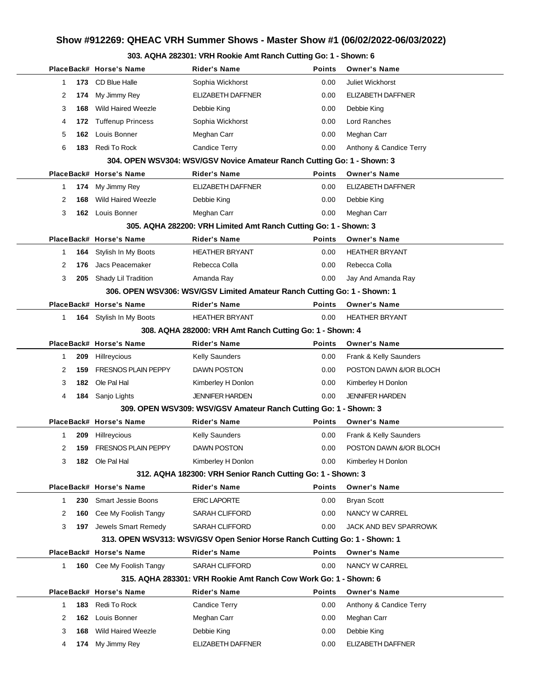## **Show #912269: QHEAC VRH Summer Shows - Master Show #1 (06/02/2022-06/03/2022)**

## **303. AQHA 282301: VRH Rookie Amt Ranch Cutting Go: 1 - Shown: 6**

|             |      | PlaceBack# Horse's Name        | Rider's Name                                                               | Points        | <b>Owner's Name</b>     |
|-------------|------|--------------------------------|----------------------------------------------------------------------------|---------------|-------------------------|
| 1           |      | 173 CD Blue Halle              | Sophia Wickhorst                                                           | 0.00          | Juliet Wickhorst        |
| 2           | 174  | My Jimmy Rey                   | ELIZABETH DAFFNER                                                          | 0.00          | ELIZABETH DAFFNER       |
| 3           | 168  | <b>Wild Haired Weezle</b>      | Debbie King                                                                | 0.00          | Debbie King             |
| 4           | 172. | <b>Tuffenup Princess</b>       | Sophia Wickhorst                                                           | 0.00          | Lord Ranches            |
| 5           |      | 162 Louis Bonner               | Meghan Carr                                                                | 0.00          | Meghan Carr             |
| 6           | 183  | Redi To Rock                   | Candice Terry                                                              | 0.00          | Anthony & Candice Terry |
|             |      |                                | 304. OPEN WSV304: WSV/GSV Novice Amateur Ranch Cutting Go: 1 - Shown: 3    |               |                         |
|             |      | PlaceBack# Horse's Name        | <b>Rider's Name</b>                                                        | <b>Points</b> | <b>Owner's Name</b>     |
| 1           |      | 174 My Jimmy Rey               | <b>ELIZABETH DAFFNER</b>                                                   | 0.00          | ELIZABETH DAFFNER       |
| 2           | 168  | <b>Wild Haired Weezle</b>      | Debbie King                                                                | 0.00          | Debbie King             |
| 3           |      | 162 Louis Bonner               | Meghan Carr                                                                | 0.00          | Meghan Carr             |
|             |      |                                | 305. AQHA 282200: VRH Limited Amt Ranch Cutting Go: 1 - Shown: 3           |               |                         |
|             |      | PlaceBack# Horse's Name        | <b>Rider's Name</b>                                                        | Points        | <b>Owner's Name</b>     |
| 1           |      | <b>164</b> Stylish In My Boots | <b>HEATHER BRYANT</b>                                                      | 0.00          | <b>HEATHER BRYANT</b>   |
| 2           | 176  | Jacs Peacemaker                | Rebecca Colla                                                              | 0.00          | Rebecca Colla           |
| 3           |      | 205 Shady Lil Tradition        | Amanda Ray                                                                 | 0.00          | Jay And Amanda Ray      |
|             |      |                                | 306. OPEN WSV306: WSV/GSV Limited Amateur Ranch Cutting Go: 1 - Shown: 1   |               |                         |
|             |      | PlaceBack# Horse's Name        | <b>Rider's Name</b>                                                        | Points        | <b>Owner's Name</b>     |
| $\mathbf 1$ |      | 164 Stylish In My Boots        | <b>HEATHER BRYANT</b>                                                      | 0.00          | <b>HEATHER BRYANT</b>   |
|             |      |                                | 308. AQHA 282000: VRH Amt Ranch Cutting Go: 1 - Shown: 4                   |               |                         |
|             |      | PlaceBack# Horse's Name        | <b>Rider's Name</b>                                                        | <b>Points</b> | <b>Owner's Name</b>     |
| 1           | 209  | Hillreycious                   | <b>Kelly Saunders</b>                                                      | 0.00          | Frank & Kelly Saunders  |
| 2           | 159  | <b>FRESNOS PLAIN PEPPY</b>     | <b>DAWN POSTON</b>                                                         | 0.00          | POSTON DAWN &/OR BLOCH  |
| 3           | 182  | Ole Pal Hal                    | Kimberley H Donlon                                                         | 0.00          | Kimberley H Donlon      |
| 4           |      | <b>184</b> Sanjo Lights        | <b>JENNIFER HARDEN</b>                                                     | 0.00          | <b>JENNIFER HARDEN</b>  |
|             |      |                                | 309. OPEN WSV309: WSV/GSV Amateur Ranch Cutting Go: 1 - Shown: 3           |               |                         |
|             |      | PlaceBack# Horse's Name        | Rider's Name                                                               | Points        | <b>Owner's Name</b>     |
| 1           |      | 209 Hillreycious               | <b>Kelly Saunders</b>                                                      | 0.00          | Frank & Kelly Saunders  |
| 2           |      | <b>159 FRESNOS PLAIN PEPPY</b> | <b>DAWN POSTON</b>                                                         | 0.00          | POSTON DAWN &/OR BLOCH  |
| 3           |      | <b>182</b> Ole Pal Hal         | Kimberley H Donlon                                                         | 0.00          | Kimberley H Donlon      |
|             |      |                                | 312. AQHA 182300: VRH Senior Ranch Cutting Go: 1 - Shown: 3                |               |                         |
|             |      | PlaceBack# Horse's Name        | <b>Rider's Name</b>                                                        | Points        | <b>Owner's Name</b>     |
| 1           | 230  | <b>Smart Jessie Boons</b>      | <b>ERIC LAPORTE</b>                                                        | 0.00          | <b>Bryan Scott</b>      |
| 2           | 160  | Cee My Foolish Tangy           | SARAH CLIFFORD                                                             | 0.00          | NANCY W CARREL          |
| 3           |      | 197 Jewels Smart Remedy        | <b>SARAH CLIFFORD</b>                                                      | 0.00          | JACK AND BEV SPARROWK   |
|             |      |                                | 313. OPEN WSV313: WSV/GSV Open Senior Horse Ranch Cutting Go: 1 - Shown: 1 |               |                         |
|             |      | PlaceBack# Horse's Name        | <b>Rider's Name</b>                                                        | <b>Points</b> | <b>Owner's Name</b>     |
| 1           |      | 160 Cee My Foolish Tangy       | <b>SARAH CLIFFORD</b>                                                      | 0.00          | NANCY W CARREL          |
|             |      |                                | 315. AQHA 283301: VRH Rookie Amt Ranch Cow Work Go: 1 - Shown: 6           |               |                         |
|             |      | PlaceBack# Horse's Name        | <b>Rider's Name</b>                                                        | Points        | <b>Owner's Name</b>     |
| 1           | 183  | Redi To Rock                   | Candice Terry                                                              | 0.00          | Anthony & Candice Terry |
| 2           | 162  | Louis Bonner                   | Meghan Carr                                                                | 0.00          | Meghan Carr             |
| 3           | 168  | Wild Haired Weezle             | Debbie King                                                                | 0.00          | Debbie King             |
| 4           |      | 174 My Jimmy Rey               | ELIZABETH DAFFNER                                                          | 0.00          | ELIZABETH DAFFNER       |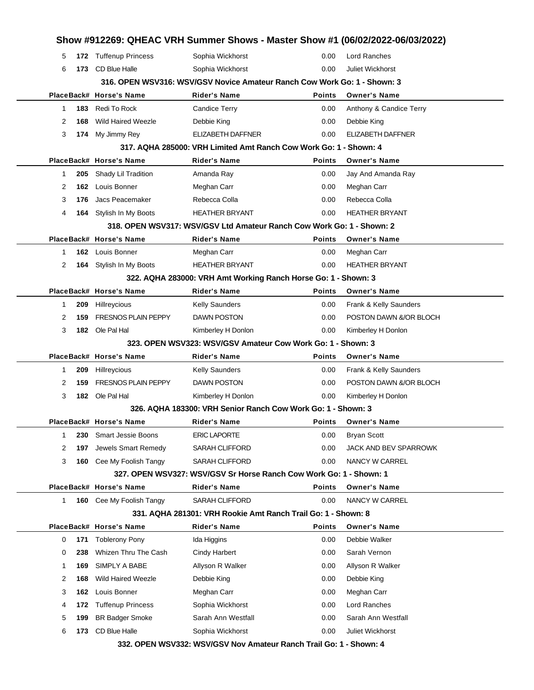|   |     |                                 |                                                                          |               | Show #912269: QHEAC VRH Summer Shows - Master Show #1 (06/02/2022-06/03/2022) |
|---|-----|---------------------------------|--------------------------------------------------------------------------|---------------|-------------------------------------------------------------------------------|
| 5 |     | 172 Tuffenup Princess           | Sophia Wickhorst                                                         | 0.00          | <b>Lord Ranches</b>                                                           |
| 6 | 173 | CD Blue Halle                   | Sophia Wickhorst                                                         | 0.00          | Juliet Wickhorst                                                              |
|   |     |                                 | 316. OPEN WSV316: WSV/GSV Novice Amateur Ranch Cow Work Go: 1 - Shown: 3 |               |                                                                               |
|   |     | PlaceBack# Horse's Name         | Rider's Name                                                             | <b>Points</b> | <b>Owner's Name</b>                                                           |
| 1 |     | 183 Redi To Rock                | <b>Candice Terry</b>                                                     | 0.00          | Anthony & Candice Terry                                                       |
| 2 | 168 | <b>Wild Haired Weezle</b>       | Debbie King                                                              | 0.00          | Debbie King                                                                   |
| 3 |     | 174 My Jimmy Rey                | ELIZABETH DAFFNER                                                        | 0.00          | <b>ELIZABETH DAFFNER</b>                                                      |
|   |     |                                 | 317, AQHA 285000: VRH Limited Amt Ranch Cow Work Go: 1 - Shown: 4        |               |                                                                               |
|   |     | PlaceBack# Horse's Name         | <b>Rider's Name</b>                                                      | <b>Points</b> | <b>Owner's Name</b>                                                           |
| 1 |     | 205 Shady Lil Tradition         | Amanda Ray                                                               | 0.00          | Jay And Amanda Ray                                                            |
| 2 |     | 162 Louis Bonner                | Meghan Carr                                                              | 0.00          | Meghan Carr                                                                   |
| 3 | 176 | Jacs Peacemaker                 | Rebecca Colla                                                            | 0.00          | Rebecca Colla                                                                 |
| 4 |     | 164 Stylish In My Boots         | <b>HEATHER BRYANT</b>                                                    | 0.00          | <b>HEATHER BRYANT</b>                                                         |
|   |     |                                 | 318. OPEN WSV317: WSV/GSV Ltd Amateur Ranch Cow Work Go: 1 - Shown: 2    |               |                                                                               |
|   |     | PlaceBack# Horse's Name         | Rider's Name                                                             | <b>Points</b> | <b>Owner's Name</b>                                                           |
| 1 |     | 162 Louis Bonner                | Meghan Carr                                                              | 0.00          | Meghan Carr                                                                   |
| 2 |     | 164 Stylish In My Boots         | <b>HEATHER BRYANT</b>                                                    | 0.00          | <b>HEATHER BRYANT</b>                                                         |
|   |     |                                 | 322. AQHA 283000: VRH Amt Working Ranch Horse Go: 1 - Shown: 3           |               |                                                                               |
|   |     | PlaceBack# Horse's Name         | <b>Rider's Name</b>                                                      | <b>Points</b> | <b>Owner's Name</b>                                                           |
| 1 |     | 209 Hillreycious                | <b>Kelly Saunders</b>                                                    | 0.00          | Frank & Kelly Saunders                                                        |
| 2 | 159 | <b>FRESNOS PLAIN PEPPY</b>      | <b>DAWN POSTON</b>                                                       | 0.00          | POSTON DAWN &/OR BLOCH                                                        |
| 3 |     | 182 Ole Pal Hal                 | Kimberley H Donlon                                                       | 0.00          | Kimberley H Donlon                                                            |
|   |     |                                 | 323. OPEN WSV323: WSV/GSV Amateur Cow Work Go: 1 - Shown: 3              |               |                                                                               |
|   |     | PlaceBack# Horse's Name         | Rider's Name                                                             | <b>Points</b> | <b>Owner's Name</b>                                                           |
| 1 | 209 | Hillreycious                    | <b>Kelly Saunders</b>                                                    | 0.00          | Frank & Kelly Saunders                                                        |
| 2 | 159 | <b>FRESNOS PLAIN PEPPY</b>      | DAWN POSTON                                                              | 0.00          | POSTON DAWN &/OR BLOCH                                                        |
| 3 |     | 182 Ole Pal Hal                 | Kimberley H Donlon                                                       | 0.00          | Kimberley H Donlon                                                            |
|   |     |                                 | 326. AQHA 183300: VRH Senior Ranch Cow Work Go: 1 - Shown: 3             |               |                                                                               |
|   |     | PlaceBack# Horse's Name         | Rider's Name                                                             |               | Points Owner's Name                                                           |
| 1 |     | 230 Smart Jessie Boons          | <b>ERIC LAPORTE</b>                                                      | 0.00          | <b>Bryan Scott</b>                                                            |
| 2 | 197 | Jewels Smart Remedy             | SARAH CLIFFORD                                                           | 0.00          | JACK AND BEV SPARROWK                                                         |
| 3 |     | <b>160</b> Cee My Foolish Tangy | <b>SARAH CLIFFORD</b>                                                    | 0.00          | NANCY W CARREL                                                                |
|   |     |                                 | 327. OPEN WSV327: WSV/GSV Sr Horse Ranch Cow Work Go: 1 - Shown: 1       |               |                                                                               |
|   |     | PlaceBack# Horse's Name         | Rider's Name                                                             | <b>Points</b> | <b>Owner's Name</b>                                                           |
| 1 |     | <b>160</b> Cee My Foolish Tangy | <b>SARAH CLIFFORD</b>                                                    | 0.00          | NANCY W CARREL                                                                |
|   |     |                                 | 331. AQHA 281301: VRH Rookie Amt Ranch Trail Go: 1 - Shown: 8            |               |                                                                               |
|   |     | PlaceBack# Horse's Name         | <b>Rider's Name</b>                                                      | <b>Points</b> | <b>Owner's Name</b>                                                           |
| 0 |     | 171 Toblerony Pony              | Ida Higgins                                                              | 0.00          | Debbie Walker                                                                 |
| 0 | 238 | Whizen Thru The Cash            | <b>Cindy Harbert</b>                                                     | 0.00          | Sarah Vernon                                                                  |
| 1 | 169 | SIMPLY A BABE                   | Allyson R Walker                                                         | 0.00          | Allyson R Walker                                                              |
| 2 | 168 | <b>Wild Haired Weezle</b>       | Debbie King                                                              | 0.00          | Debbie King                                                                   |
| 3 |     | 162 Louis Bonner                | Meghan Carr                                                              | 0.00          | Meghan Carr                                                                   |
| 4 | 172 | <b>Tuffenup Princess</b>        | Sophia Wickhorst                                                         | 0.00          | Lord Ranches                                                                  |
|   |     | <b>BR Badger Smoke</b>          | Sarah Ann Westfall                                                       | 0.00          | Sarah Ann Westfall                                                            |
| 5 | 199 |                                 |                                                                          |               |                                                                               |
| 6 | 173 | CD Blue Halle                   | Sophia Wickhorst                                                         | 0.00          | Juliet Wickhorst                                                              |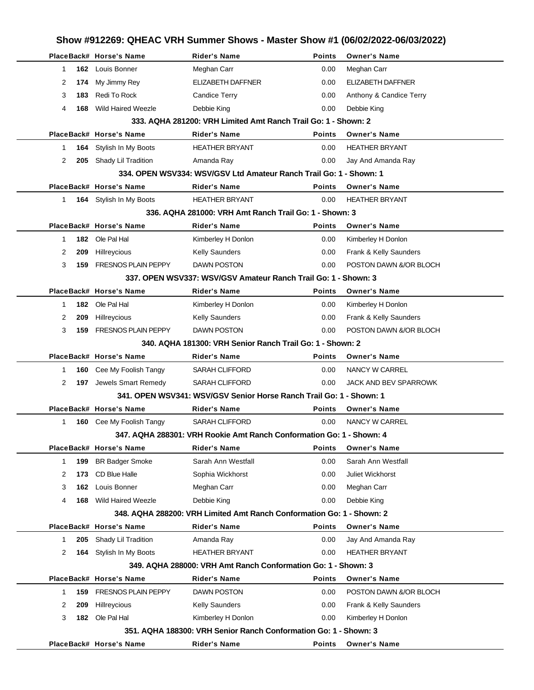|    |     |                            |                                                                       |               | Show #912269: QHEAC VRH Summer Shows - Master Show #1 (06/02/2022-06/03/2022) |  |
|----|-----|----------------------------|-----------------------------------------------------------------------|---------------|-------------------------------------------------------------------------------|--|
|    |     | PlaceBack# Horse's Name    | <b>Rider's Name</b>                                                   | <b>Points</b> | <b>Owner's Name</b>                                                           |  |
| 1  |     | 162 Louis Bonner           | Meghan Carr                                                           | 0.00          | Meghan Carr                                                                   |  |
| 2  | 174 | My Jimmy Rey               | <b>ELIZABETH DAFFNER</b>                                              | 0.00          | <b>ELIZABETH DAFFNER</b>                                                      |  |
| 3  | 183 | Redi To Rock               | <b>Candice Terry</b>                                                  | 0.00          | Anthony & Candice Terry                                                       |  |
| 4  | 168 | <b>Wild Haired Weezle</b>  | Debbie King                                                           | 0.00          | Debbie King                                                                   |  |
|    |     |                            | 333, AQHA 281200: VRH Limited Amt Ranch Trail Go: 1 - Shown: 2        |               |                                                                               |  |
|    |     | PlaceBack# Horse's Name    | <b>Rider's Name</b>                                                   | <b>Points</b> | <b>Owner's Name</b>                                                           |  |
| 1  | 164 | Stylish In My Boots        | <b>HEATHER BRYANT</b>                                                 | 0.00          | <b>HEATHER BRYANT</b>                                                         |  |
| 2  | 205 | Shady Lil Tradition        | Amanda Ray                                                            | 0.00          | Jay And Amanda Ray                                                            |  |
|    |     |                            | 334, OPEN WSV334: WSV/GSV Ltd Amateur Ranch Trail Go: 1 - Shown: 1    |               |                                                                               |  |
|    |     | PlaceBack# Horse's Name    | <b>Rider's Name</b>                                                   | <b>Points</b> | <b>Owner's Name</b>                                                           |  |
| 1. |     | 164 Stylish In My Boots    | <b>HEATHER BRYANT</b>                                                 | 0.00          | <b>HEATHER BRYANT</b>                                                         |  |
|    |     |                            | 336, AQHA 281000: VRH Amt Ranch Trail Go: 1 - Shown: 3                |               |                                                                               |  |
|    |     | PlaceBack# Horse's Name    | <b>Rider's Name</b>                                                   | <b>Points</b> | <b>Owner's Name</b>                                                           |  |
| 1  |     | 182 Ole Pal Hal            | Kimberley H Donlon                                                    | 0.00          | Kimberley H Donlon                                                            |  |
| 2  | 209 | Hillreycious               | <b>Kelly Saunders</b>                                                 | 0.00          | Frank & Kelly Saunders                                                        |  |
| 3  | 159 | <b>FRESNOS PLAIN PEPPY</b> | <b>DAWN POSTON</b>                                                    | 0.00          | POSTON DAWN &/OR BLOCH                                                        |  |
|    |     |                            | 337, OPEN WSV337: WSV/GSV Amateur Ranch Trail Go: 1 - Shown: 3        |               |                                                                               |  |
|    |     | PlaceBack# Horse's Name    | <b>Rider's Name</b>                                                   | <b>Points</b> | <b>Owner's Name</b>                                                           |  |
| 1  |     | 182 Ole Pal Hal            | Kimberley H Donlon                                                    | 0.00          | Kimberley H Donlon                                                            |  |
| 2  | 209 | Hillreycious               | <b>Kelly Saunders</b>                                                 | 0.00          | Frank & Kelly Saunders                                                        |  |
| 3  | 159 | <b>FRESNOS PLAIN PEPPY</b> | <b>DAWN POSTON</b>                                                    | 0.00          | POSTON DAWN &/OR BLOCH                                                        |  |
|    |     |                            | 340, AQHA 181300: VRH Senior Ranch Trail Go: 1 - Shown: 2             |               |                                                                               |  |
|    |     | PlaceBack# Horse's Name    | Rider's Name                                                          | <b>Points</b> | <b>Owner's Name</b>                                                           |  |
| 1  | 160 | Cee My Foolish Tangy       | <b>SARAH CLIFFORD</b>                                                 | 0.00          | NANCY W CARREL                                                                |  |
| 2  | 197 | Jewels Smart Remedy        | <b>SARAH CLIFFORD</b>                                                 | 0.00          | JACK AND BEV SPARROWK                                                         |  |
|    |     |                            | 341, OPEN WSV341: WSV/GSV Senior Horse Ranch Trail Go: 1 - Shown: 1   |               |                                                                               |  |
|    |     | PlaceBack# Horse's Name    | <b>Rider's Name</b>                                                   | Points        | <b>Owner's Name</b>                                                           |  |
| 1  |     | 160 Cee My Foolish Tangy   | <b>SARAH CLIFFORD</b>                                                 | 0.00          | NANCY W CARREL                                                                |  |
|    |     |                            | 347. AQHA 288301: VRH Rookie Amt Ranch Conformation Go: 1 - Shown: 4  |               |                                                                               |  |
|    |     | PlaceBack# Horse's Name    | Rider's Name                                                          | <b>Points</b> | <b>Owner's Name</b>                                                           |  |
| 1  | 199 | <b>BR Badger Smoke</b>     | Sarah Ann Westfall                                                    | 0.00          | Sarah Ann Westfall                                                            |  |
| 2  | 173 | <b>CD Blue Halle</b>       | Sophia Wickhorst                                                      | 0.00          | Juliet Wickhorst                                                              |  |
| 3  | 162 | Louis Bonner               | Meghan Carr                                                           | 0.00          | Meghan Carr                                                                   |  |
| 4  | 168 | <b>Wild Haired Weezle</b>  | Debbie King                                                           | 0.00          | Debbie King                                                                   |  |
|    |     |                            | 348. AQHA 288200: VRH Limited Amt Ranch Conformation Go: 1 - Shown: 2 |               |                                                                               |  |
|    |     | PlaceBack# Horse's Name    | Rider's Name                                                          | <b>Points</b> | <b>Owner's Name</b>                                                           |  |
| 1  | 205 | Shady Lil Tradition        | Amanda Ray                                                            | 0.00          | Jay And Amanda Ray                                                            |  |
| 2  | 164 | Stylish In My Boots        | <b>HEATHER BRYANT</b>                                                 | 0.00          | <b>HEATHER BRYANT</b>                                                         |  |
|    |     |                            | 349, AQHA 288000: VRH Amt Ranch Conformation Go: 1 - Shown: 3         |               |                                                                               |  |
|    |     | PlaceBack# Horse's Name    | <b>Rider's Name</b>                                                   | <b>Points</b> | <b>Owner's Name</b>                                                           |  |
| 1  | 159 | <b>FRESNOS PLAIN PEPPY</b> | <b>DAWN POSTON</b>                                                    | 0.00          | POSTON DAWN &/OR BLOCH                                                        |  |
| 2  | 209 | Hillreycious               | <b>Kelly Saunders</b>                                                 | 0.00          | Frank & Kelly Saunders                                                        |  |
| 3  | 182 | Ole Pal Hal                | Kimberley H Donlon                                                    | 0.00          | Kimberley H Donlon                                                            |  |
|    |     |                            | 351, AQHA 188300: VRH Senior Ranch Conformation Go: 1 - Shown: 3      |               |                                                                               |  |
|    |     | PlaceBack# Horse's Name    | <b>Rider's Name</b>                                                   | Points        | <b>Owner's Name</b>                                                           |  |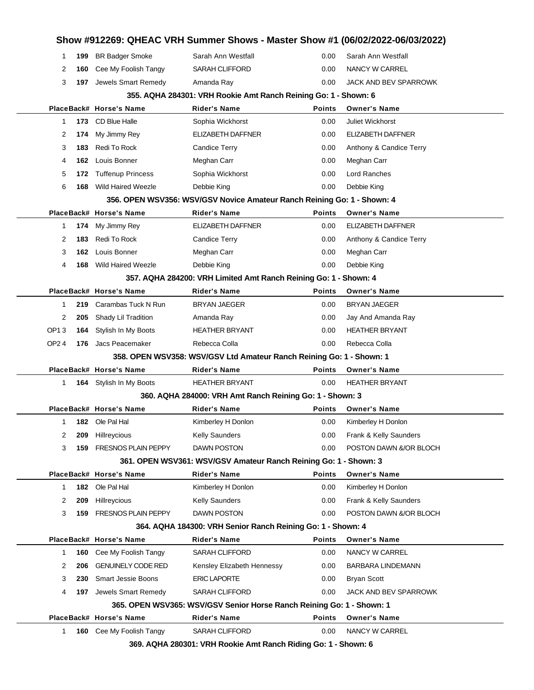|                  |     | PlaceBack# Horse's Name    | <b>Rider's Name</b>                                                     | Points        | <b>Owner's Name</b>     |
|------------------|-----|----------------------------|-------------------------------------------------------------------------|---------------|-------------------------|
|                  |     |                            | 365. OPEN WSV365: WSV/GSV Senior Horse Ranch Reining Go: 1 - Shown: 1   |               |                         |
| 4                | 197 | Jewels Smart Remedy        | <b>SARAH CLIFFORD</b>                                                   | 0.00          | JACK AND BEV SPARROWK   |
| 3                | 230 | <b>Smart Jessie Boons</b>  | <b>ERIC LAPORTE</b>                                                     | 0.00          | <b>Bryan Scott</b>      |
| 2                | 206 | <b>GENUINELY CODE RED</b>  | Kensley Elizabeth Hennessy                                              | 0.00          | BARBARA LINDEMANN       |
| 1                | 160 | Cee My Foolish Tangy       | <b>SARAH CLIFFORD</b>                                                   | 0.00          | NANCY W CARREL          |
|                  |     | PlaceBack# Horse's Name    | Rider's Name                                                            | <b>Points</b> | <b>Owner's Name</b>     |
|                  |     |                            | 364. AQHA 184300: VRH Senior Ranch Reining Go: 1 - Shown: 4             |               |                         |
| 3                | 159 | <b>FRESNOS PLAIN PEPPY</b> | DAWN POSTON                                                             | 0.00          | POSTON DAWN &/OR BLOCH  |
| 2                | 209 | Hillreycious               | <b>Kelly Saunders</b>                                                   | 0.00          | Frank & Kelly Saunders  |
| 1                | 182 | Ole Pal Hal                | Kimberley H Donlon                                                      | 0.00          | Kimberley H Donlon      |
|                  |     | PlaceBack# Horse's Name    | <b>Rider's Name</b>                                                     | <b>Points</b> | <b>Owner's Name</b>     |
|                  |     |                            | 361. OPEN WSV361: WSV/GSV Amateur Ranch Reining Go: 1 - Shown: 3        |               |                         |
| 3                | 159 | <b>FRESNOS PLAIN PEPPY</b> | DAWN POSTON                                                             | 0.00          | POSTON DAWN &/OR BLOCH  |
| 2                | 209 | Hillreycious               | Kelly Saunders                                                          | 0.00          | Frank & Kelly Saunders  |
| 1                |     | 182 Ole Pal Hal            | Kimberley H Donlon                                                      | 0.00          | Kimberley H Donlon      |
|                  |     | PlaceBack# Horse's Name    | Rider's Name                                                            | <b>Points</b> | <b>Owner's Name</b>     |
|                  |     |                            | 360. AQHA 284000: VRH Amt Ranch Reining Go: 1 - Shown: 3                |               |                         |
| 1                |     | 164 Stylish In My Boots    | <b>HEATHER BRYANT</b>                                                   | 0.00          | <b>HEATHER BRYANT</b>   |
|                  |     | PlaceBack# Horse's Name    | Rider's Name                                                            | Points        | <b>Owner's Name</b>     |
|                  |     |                            | 358. OPEN WSV358: WSV/GSV Ltd Amateur Ranch Reining Go: 1 - Shown: 1    |               |                         |
| OP <sub>24</sub> | 176 | Jacs Peacemaker            | Rebecca Colla                                                           | 0.00          | Rebecca Colla           |
| OP <sub>13</sub> | 164 | Stylish In My Boots        | <b>HEATHER BRYANT</b>                                                   | 0.00          | <b>HEATHER BRYANT</b>   |
| 2                | 205 | Shady Lil Tradition        | Amanda Ray                                                              | 0.00          | Jay And Amanda Ray      |
| 1                | 219 | Carambas Tuck N Run        | BRYAN JAEGER                                                            | 0.00          | <b>BRYAN JAEGER</b>     |
|                  |     | PlaceBack# Horse's Name    | Rider's Name                                                            | <b>Points</b> | <b>Owner's Name</b>     |
|                  |     |                            | 357. AQHA 284200: VRH Limited Amt Ranch Reining Go: 1 - Shown: 4        |               |                         |
| 4                | 168 | Wild Haired Weezle         | Debbie King                                                             | 0.00          | Debbie King             |
| 3                | 162 | Louis Bonner               | Meghan Carr                                                             | 0.00          | Meghan Carr             |
| 2                | 183 | Redi To Rock               | Candice Terry                                                           | 0.00          | Anthony & Candice Terry |
| 1                | 174 | My Jimmy Rey               | ELIZABETH DAFFNER                                                       | 0.00          | ELIZABETH DAFFNER       |
|                  |     | PlaceBack# Horse's Name    | Rider's Name                                                            | <b>Points</b> | <b>Owner's Name</b>     |
|                  |     |                            | 356. OPEN WSV356: WSV/GSV Novice Amateur Ranch Reining Go: 1 - Shown: 4 |               |                         |
| 6                | 168 | Wild Haired Weezle         | Debbie King                                                             | 0.00          | Debbie King             |
| 5                | 172 | <b>Tuffenup Princess</b>   | Sophia Wickhorst                                                        | 0.00          | Lord Ranches            |
| 4                | 162 | Louis Bonner               | Meghan Carr                                                             | 0.00          | Meghan Carr             |
| 3                | 183 | Redi To Rock               | Candice Terry                                                           | 0.00          | Anthony & Candice Terry |
| 2                | 174 | My Jimmy Rey               | <b>ELIZABETH DAFFNER</b>                                                | 0.00          | ELIZABETH DAFFNER       |
| 1                |     | 173 CD Blue Halle          | Sophia Wickhorst                                                        | 0.00          | Juliet Wickhorst        |
|                  |     | PlaceBack# Horse's Name    | Rider's Name                                                            | <b>Points</b> | <b>Owner's Name</b>     |
|                  |     |                            | 355. AQHA 284301: VRH Rookie Amt Ranch Reining Go: 1 - Shown: 6         |               |                         |
| 3                | 197 | Jewels Smart Remedy        | Amanda Ray                                                              | 0.00          | JACK AND BEV SPARROWK   |
| 2                | 160 | Cee My Foolish Tangy       | <b>SARAH CLIFFORD</b>                                                   | 0.00          | NANCY W CARREL          |
|                  | 199 | <b>BR Badger Smoke</b>     | Sarah Ann Westfall                                                      | 0.00          | Sarah Ann Westfall      |